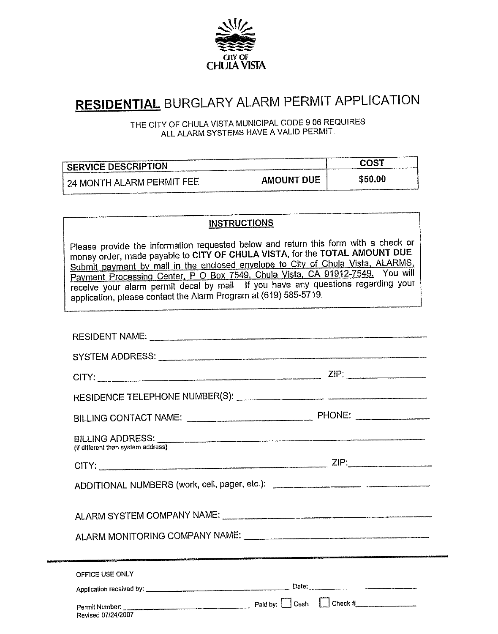

## **RESIDENTIAL** BURGLARY ALARM PERMIT APPLICATION

THE CITY OF CHULA VISTA MUNICIPAL CODE 9 06 REQUIRES ALL ALARM SYSTEMS HAVE A VALID PERMIT

| <b>SERVICE DESCRIPTION</b>           |                   | COS1    |
|--------------------------------------|-------------------|---------|
| $^{\circ}$ 24 MONTH ALARM PERMIT FEE | <b>AMOUNT DUE</b> | \$50.00 |

## **INSTRUCTIONS**

Please provide the information requested below and return this form with a check or money order, made payable to CITY OF CHULA VISTA, for the TOTAL AMOUNT DUE Submit payment by mail in the enclosed envelope to City of Chula Vista, ALARMS, Payment Processing Center, P O Box 7549, Chula Vista, CA 91912-7549. You will receive your alarm permit decal by mail If you have any questions regarding your application, please contact the Alarm Program at (619) 585-5719.

| BILLING ADDRESS:<br>(If different than system address) |                                                                                  |
|--------------------------------------------------------|----------------------------------------------------------------------------------|
|                                                        |                                                                                  |
|                                                        | ADDITIONAL NUMBERS (work, cell, pager, etc.): __________________________________ |
| ALARM SYSTEM COMPANY NAME: COMPANY NAME                |                                                                                  |
|                                                        | ALARM MONITORING COMPANY NAME:                                                   |
|                                                        |                                                                                  |
| OFFICE USE ONLY                                        |                                                                                  |
|                                                        |                                                                                  |
| Revised 07/24/2007                                     |                                                                                  |